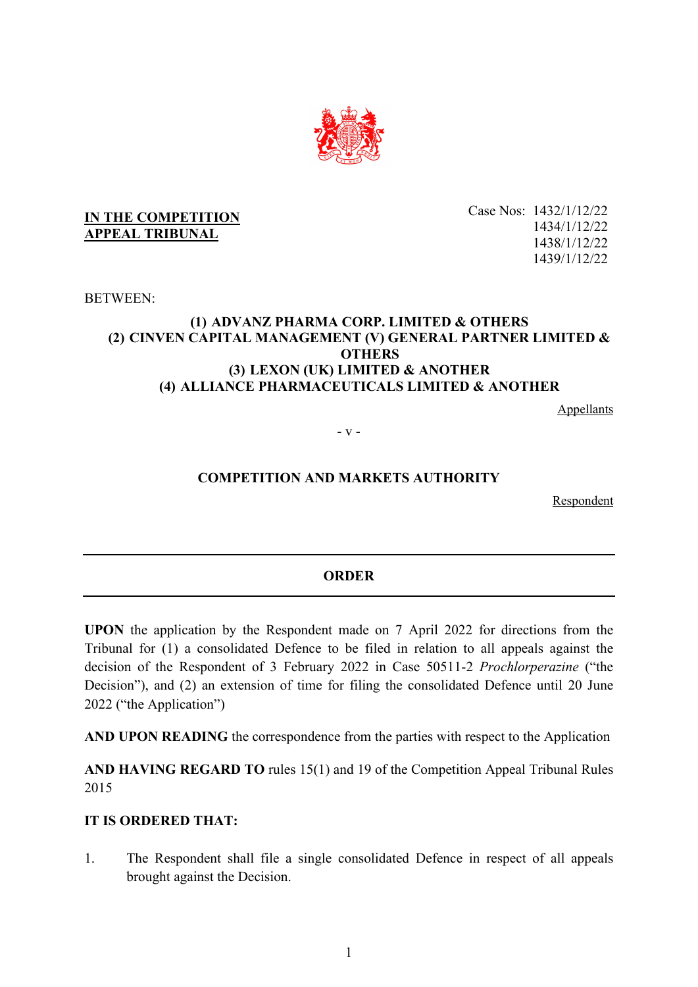

### **IN THE COMPETITION APPEAL TRIBUNAL**

Case Nos: 1432/1/12/22 1434/1/12/22 1438/1/12/22 1439/1/12/22

BETWEEN:

## **(1) ADVANZ PHARMA CORP. LIMITED & OTHERS (2) CINVEN CAPITAL MANAGEMENT (V) GENERAL PARTNER LIMITED & OTHERS (3) LEXON (UK) LIMITED & ANOTHER (4) ALLIANCE PHARMACEUTICALS LIMITED & ANOTHER**

Appellants

- v -

# **COMPETITION AND MARKETS AUTHORITY**

Respondent

# **ORDER**

**UPON** the application by the Respondent made on 7 April 2022 for directions from the Tribunal for (1) a consolidated Defence to be filed in relation to all appeals against the decision of the Respondent of 3 February 2022 in Case 50511-2 *Prochlorperazine* ("the Decision"), and (2) an extension of time for filing the consolidated Defence until 20 June 2022 ("the Application")

**AND UPON READING** the correspondence from the parties with respect to the Application

**AND HAVING REGARD TO** rules 15(1) and 19 of the Competition Appeal Tribunal Rules 2015

### **IT IS ORDERED THAT:**

1. The Respondent shall file a single consolidated Defence in respect of all appeals brought against the Decision.